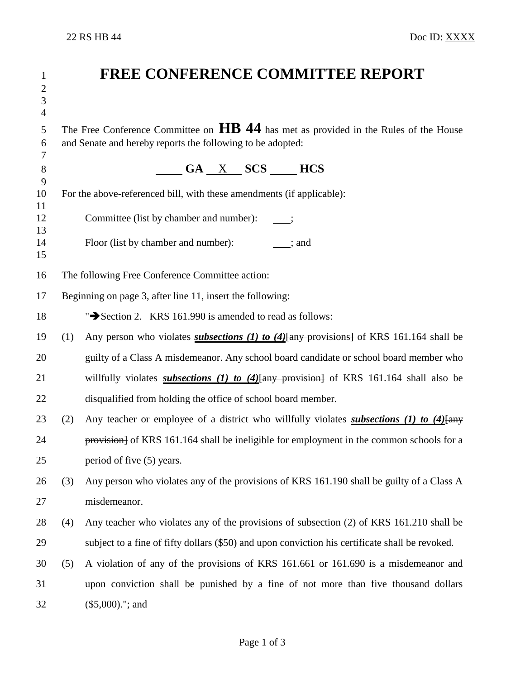| $\mathbf{1}$<br>$\mathbf{2}$<br>$\overline{3}$<br>$\overline{4}$ |                                                                                                                                                                 | <b>FREE CONFERENCE COMMITTEE REPORT</b>                                                                         |  |
|------------------------------------------------------------------|-----------------------------------------------------------------------------------------------------------------------------------------------------------------|-----------------------------------------------------------------------------------------------------------------|--|
| 5<br>6<br>7                                                      | The Free Conference Committee on $\overline{HB}$ 44 has met as provided in the Rules of the House<br>and Senate and hereby reports the following to be adopted: |                                                                                                                 |  |
| $8\,$<br>9                                                       | $\underline{\hspace{1cm}}$ GA $\underline{\hspace{1cm}}$ X $\underline{\hspace{1cm}}$ SCS $\underline{\hspace{1cm}}$ HCS                                        |                                                                                                                 |  |
| 10                                                               | For the above-referenced bill, with these amendments (if applicable):                                                                                           |                                                                                                                 |  |
| 11<br>12<br>13                                                   | Committee (list by chamber and number):                                                                                                                         |                                                                                                                 |  |
| 14<br>15                                                         |                                                                                                                                                                 | Floor (list by chamber and number): ; and                                                                       |  |
| 16                                                               | The following Free Conference Committee action:                                                                                                                 |                                                                                                                 |  |
| 17                                                               | Beginning on page 3, after line 11, insert the following:                                                                                                       |                                                                                                                 |  |
| 18                                                               |                                                                                                                                                                 | ">Section 2. KRS 161.990 is amended to read as follows:                                                         |  |
| 19                                                               | (1)                                                                                                                                                             | Any person who violates <i>subsections (1) to (4)</i> $\frac{4}{\text{any}}$ provisions of KRS 161.164 shall be |  |
| 20                                                               |                                                                                                                                                                 | guilty of a Class A misdemeanor. Any school board candidate or school board member who                          |  |
| 21                                                               |                                                                                                                                                                 | willfully violates <i>subsections (1) to (4)</i> $\frac{4}{\text{any}}$ provision of KRS 161.164 shall also be  |  |
| 22                                                               |                                                                                                                                                                 | disqualified from holding the office of school board member.                                                    |  |
| 23                                                               | (2)                                                                                                                                                             | Any teacher or employee of a district who willfully violates subsections (1) to $(4)$ any                       |  |
| 24                                                               |                                                                                                                                                                 | provision of KRS 161.164 shall be ineligible for employment in the common schools for a                         |  |
| 25                                                               |                                                                                                                                                                 | period of five (5) years.                                                                                       |  |
| 26                                                               | (3)                                                                                                                                                             | Any person who violates any of the provisions of KRS 161.190 shall be guilty of a Class A                       |  |
| 27                                                               |                                                                                                                                                                 | misdemeanor.                                                                                                    |  |
| 28                                                               | (4)                                                                                                                                                             | Any teacher who violates any of the provisions of subsection (2) of KRS 161.210 shall be                        |  |
| 29                                                               |                                                                                                                                                                 | subject to a fine of fifty dollars (\$50) and upon conviction his certificate shall be revoked.                 |  |
| 30                                                               | (5)                                                                                                                                                             | A violation of any of the provisions of KRS 161.661 or 161.690 is a misdemeanor and                             |  |
| 31                                                               |                                                                                                                                                                 | upon conviction shall be punished by a fine of not more than five thousand dollars                              |  |
| 32                                                               |                                                                                                                                                                 | $(\$5,000).$ "; and                                                                                             |  |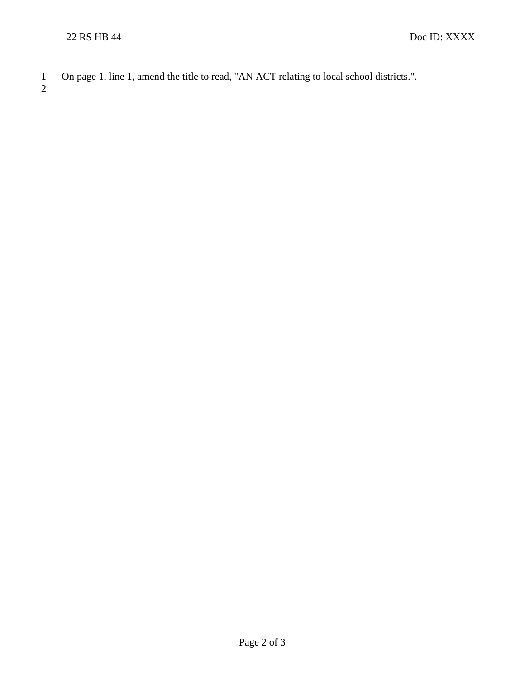1 On page 1, line 1, amend the title to read, "AN ACT relating to local school districts.".

2